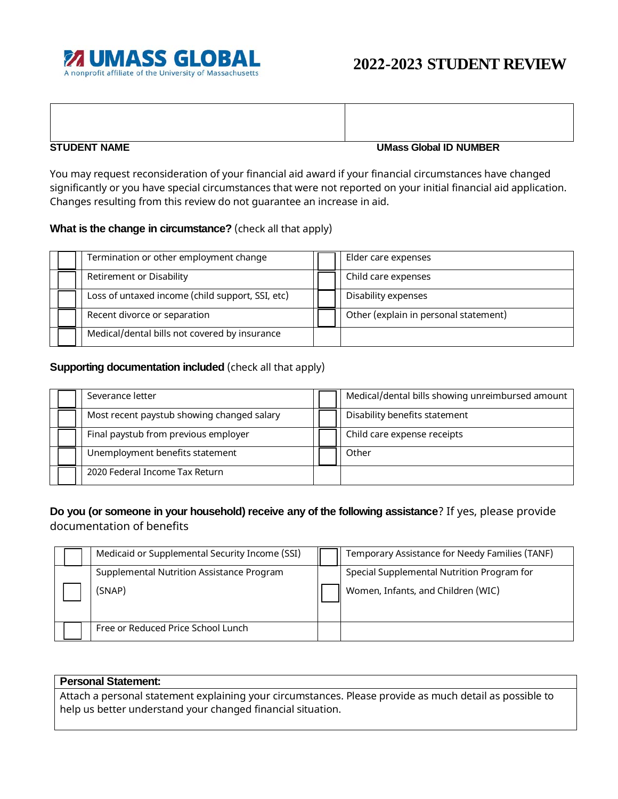

## **STUDENT NAME UMass Global ID NUMBER**

You may request reconsideration of your financial aid award if your financial circumstances have changed significantly or you have special circumstances that were not reported on your initial financial aid application. Changes resulting from this review do not guarantee an increase in aid.

## **What is the change in circumstance?** (check all that apply)

| Termination or other employment change           | Elder care expenses                   |  |
|--------------------------------------------------|---------------------------------------|--|
| <b>Retirement or Disability</b>                  | Child care expenses                   |  |
| Loss of untaxed income (child support, SSI, etc) | Disability expenses                   |  |
| Recent divorce or separation                     | Other (explain in personal statement) |  |
| Medical/dental bills not covered by insurance    |                                       |  |

## **Supporting documentation included** (check all that apply)

| Severance letter                           | Medical/dental bills showing unreimbursed amount |  |
|--------------------------------------------|--------------------------------------------------|--|
| Most recent paystub showing changed salary | Disability benefits statement                    |  |
| Final paystub from previous employer       | Child care expense receipts                      |  |
| Unemployment benefits statement            | Other                                            |  |
| 2020 Federal Income Tax Return             |                                                  |  |

# **Do you (or someone in your household) receive any of the following assistance**? If yes, please provide documentation of benefits

| Medicaid or Supplemental Security Income (SSI) | Temporary Assistance for Needy Families (TANF) |
|------------------------------------------------|------------------------------------------------|
| Supplemental Nutrition Assistance Program      | Special Supplemental Nutrition Program for     |
| (SNAP)                                         | Women, Infants, and Children (WIC)             |
| Free or Reduced Price School Lunch             |                                                |

### **Personal Statement:**

Attach a personal statement explaining your circumstances. Please provide as much detail as possible to help us better understand your changed financial situation.